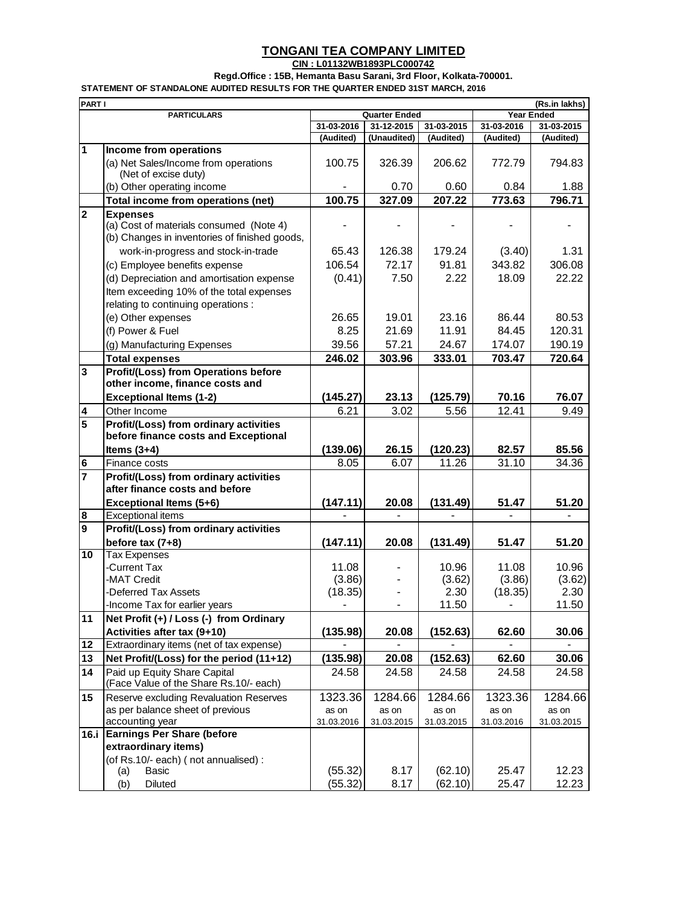## **TONGANI TEA COMPANY LIMITED**

**CIN : L01132WB1893PLC000742**

**Regd.Office : 15B, Hemanta Basu Sarani, 3rd Floor, Kolkata-700001.**

**STATEMENT OF STANDALONE AUDITED RESULTS FOR THE QUARTER ENDED 31ST MARCH, 2016**

| <b>PART I</b><br>(Rs.in lakhs) |                                                                                          |            |                      |            |                |                   |  |  |
|--------------------------------|------------------------------------------------------------------------------------------|------------|----------------------|------------|----------------|-------------------|--|--|
|                                | <b>PARTICULARS</b>                                                                       |            | <b>Quarter Ended</b> |            |                | <b>Year Ended</b> |  |  |
|                                |                                                                                          | 31-03-2016 | 31-12-2015           | 31-03-2015 | 31-03-2016     | 31-03-2015        |  |  |
|                                |                                                                                          | (Audited)  | (Unaudited)          | (Audited)  | (Audited)      | (Audited)         |  |  |
| $\overline{1}$                 | Income from operations                                                                   |            |                      |            |                |                   |  |  |
|                                | (a) Net Sales/Income from operations<br>(Net of excise duty)                             | 100.75     | 326.39               | 206.62     | 772.79         | 794.83            |  |  |
|                                | (b) Other operating income                                                               |            | 0.70                 | 0.60       | 0.84           | 1.88              |  |  |
|                                | Total income from operations (net)                                                       | 100.75     | 327.09               | 207.22     | 773.63         | 796.71            |  |  |
| $\overline{\mathbf{2}}$        | <b>Expenses</b>                                                                          |            |                      |            |                |                   |  |  |
|                                | (a) Cost of materials consumed (Note 4)<br>(b) Changes in inventories of finished goods, |            |                      |            |                |                   |  |  |
|                                | work-in-progress and stock-in-trade                                                      | 65.43      | 126.38               | 179.24     | (3.40)         | 1.31              |  |  |
|                                | (c) Employee benefits expense                                                            | 106.54     | 72.17                | 91.81      | 343.82         | 306.08            |  |  |
|                                | (d) Depreciation and amortisation expense                                                | (0.41)     | 7.50                 | 2.22       | 18.09          | 22.22             |  |  |
|                                | Item exceeding 10% of the total expenses<br>relating to continuing operations :          |            |                      |            |                |                   |  |  |
|                                | (e) Other expenses                                                                       | 26.65      | 19.01                | 23.16      | 86.44          | 80.53             |  |  |
|                                | (f) Power & Fuel                                                                         | 8.25       | 21.69                | 11.91      | 84.45          | 120.31            |  |  |
|                                | (g) Manufacturing Expenses                                                               | 39.56      | 57.21                | 24.67      | 174.07         | 190.19            |  |  |
|                                | <b>Total expenses</b>                                                                    | 246.02     | 303.96               | 333.01     | 703.47         | 720.64            |  |  |
| $\overline{\mathbf{3}}$        | <b>Profit/(Loss) from Operations before</b>                                              |            |                      |            |                |                   |  |  |
|                                | other income, finance costs and                                                          |            |                      |            |                |                   |  |  |
|                                | <b>Exceptional Items (1-2)</b>                                                           | (145.27)   | 23.13                | (125.79)   | 70.16          | 76.07             |  |  |
| 4                              | Other Income                                                                             | 6.21       | 3.02                 | 5.56       | 12.41          | 9.49              |  |  |
| 5                              | Profit/(Loss) from ordinary activities<br>before finance costs and Exceptional           |            |                      |            |                |                   |  |  |
|                                | Items $(3+4)$                                                                            | (139.06)   | 26.15                | (120.23)   | 82.57          | 85.56             |  |  |
| $\bf 6$                        | Finance costs                                                                            | 8.05       | 6.07                 | 11.26      | 31.10          | 34.36             |  |  |
| $\overline{7}$                 | Profit/(Loss) from ordinary activities                                                   |            |                      |            |                |                   |  |  |
|                                | after finance costs and before                                                           |            |                      |            |                |                   |  |  |
|                                | Exceptional Items (5+6)                                                                  | (147.11)   | 20.08                | (131.49)   | 51.47          | 51.20             |  |  |
| $\bf{8}$                       | <b>Exceptional items</b>                                                                 |            |                      |            |                |                   |  |  |
| $\mathbf{9}$                   | Profit/(Loss) from ordinary activities                                                   |            |                      |            |                |                   |  |  |
|                                | before tax $(7+8)$                                                                       | (147.11)   | 20.08                | (131.49)   | 51.47          | 51.20             |  |  |
| 10                             | <b>Tax Expenses</b>                                                                      |            |                      |            |                |                   |  |  |
|                                | -Current Tax                                                                             | 11.08      |                      | 10.96      | 11.08          | 10.96             |  |  |
|                                | -MAT Credit                                                                              | (3.86)     |                      | (3.62)     | (3.86)         | (3.62)            |  |  |
|                                | -Deferred Tax Assets                                                                     | (18.35)    |                      | 2.30       | (18.35)        | 2.30              |  |  |
|                                | -Income Tax for earlier years                                                            |            |                      | 11.50      | $\overline{a}$ | 11.50             |  |  |
| 11                             | Net Profit (+) / Loss (-) from Ordinary                                                  |            |                      |            |                |                   |  |  |
|                                | Activities after tax (9+10)                                                              | (135.98)   | 20.08                | (152.63)   | 62.60          | 30.06             |  |  |
| 12                             | Extraordinary items (net of tax expense)                                                 |            |                      |            |                |                   |  |  |
| 13                             | Net Profit/(Loss) for the period (11+12)                                                 | (135.98)   | 20.08                | (152.63)   | 62.60          | 30.06             |  |  |
| 14                             | Paid up Equity Share Capital                                                             | 24.58      | 24.58                | 24.58      | 24.58          | 24.58             |  |  |
|                                | (Face Value of the Share Rs.10/- each)                                                   |            |                      |            |                |                   |  |  |
| 15                             | Reserve excluding Revaluation Reserves                                                   | 1323.36    | 1284.66              | 1284.66    | 1323.36        | 1284.66           |  |  |
|                                | as per balance sheet of previous                                                         | as on      | as on                | as on      | as on          | as on             |  |  |
|                                | accounting year                                                                          | 31.03.2016 | 31.03.2015           | 31.03.2015 | 31.03.2016     | 31.03.2015        |  |  |
| 16.i                           | <b>Earnings Per Share (before</b>                                                        |            |                      |            |                |                   |  |  |
|                                | extraordinary items)                                                                     |            |                      |            |                |                   |  |  |
|                                | (of Rs.10/- each) (not annualised) :                                                     |            |                      |            |                |                   |  |  |
|                                | (a)<br>Basic                                                                             | (55.32)    | 8.17                 | (62.10)    | 25.47          | 12.23             |  |  |
|                                | (b)<br>Diluted                                                                           | (55.32)    | 8.17                 | (62.10)    | 25.47          | 12.23             |  |  |